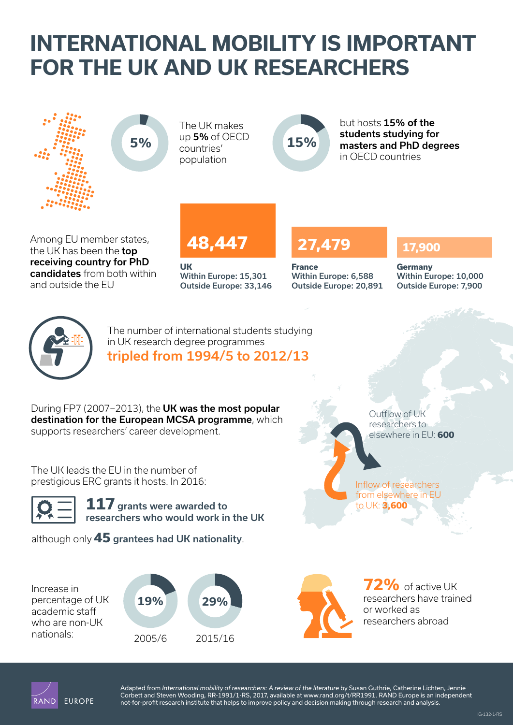# **[INTERNATIONAL MOBILITY IS IMPORTANT](http://www.rand.org/pubs/infographics/IG132.html)  FOR THE UK AND UK RESEARCHERS**



and outside the EU

Within Europe: 15,301 Outside Europe: 33,146

Within Europe: 6,588 Outside Europe: 20,891 Within Europe: 10,000 Outside Europe: 7,900



The number of international students studying in UK research degree programmes tripled from 1994/5 to 2012/13

During FP7 (2007−2013), the UK was the most popular destination for the European MCSA programme, which supports researchers' career development.

The UK leads the EU in the number of prestigious ERC grants it hosts. In 2016:

**117** grants were awarded to researchers who would work in the UK

although only **45** grantees had UK nationality.

Increase in percentage of UK academic staff who are non-UK



researchers to elsewhere in EU: **600**

Inflow of researchers from elsewhere in EU to UK: **3,600**

Outflow of UK

**72%** of active UK researchers have trained or worked as researchers abroad



Adapted from *International mobility of researchers: A review of the literature* by Susan Guthrie, Catherine Lichten, Jennie Corbett and Steven Wooding, RR-1991/1-RS, 2017, available at [www.rand.org/t/RR1991.](http://www.rand.org/t/RR1991) RAND Europe is an independent not-for-profit research institute that helps to improve policy and decision making through research and analysis.